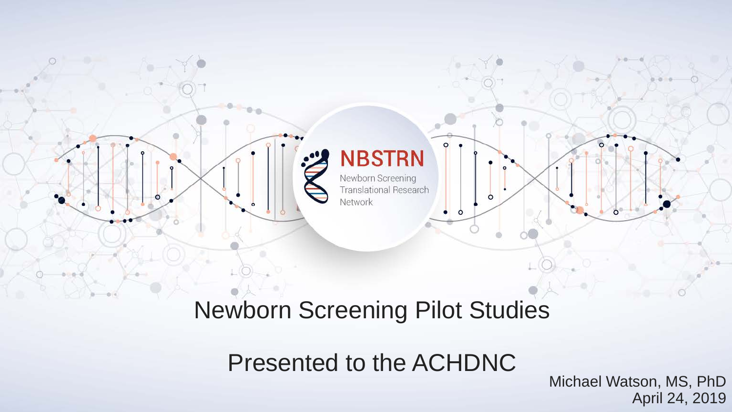

### Newborn Screening Pilot Studies

Presented to the ACHDNC

Michael Watson, MS, PhD April 24, 2019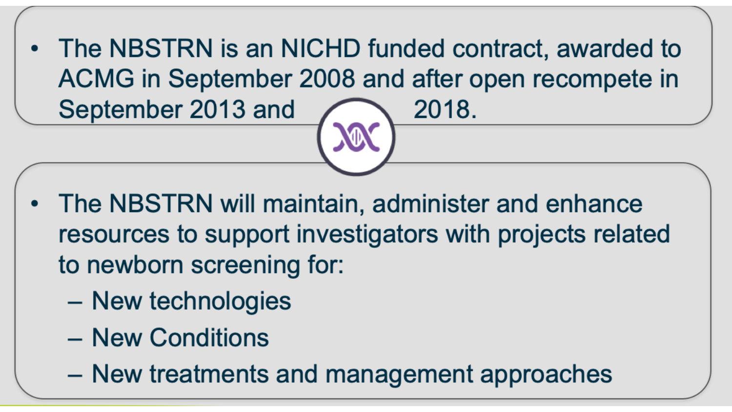• The NBSTRN is an NICHD funded contract, awarded to ACMG in September 2008 and after open recompete in September 2013 and 2018.

- The NBSTRN will maintain, administer and enhance resources to support investigators with projects related to newborn screening for:
	- New technologies
	- New Conditions
	- New treatments and management approaches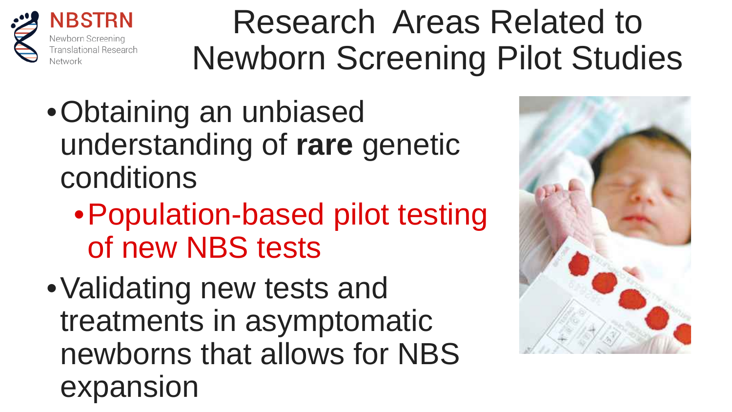

NBSTRN Translational Research

## Research Areas Related to Newborn Screening Pilot Studies

- •Obtaining an unbiased understanding of **rare** genetic conditions
	- •Population-based pilot testing of new NBS tests
- •Validating new tests and treatments in asymptomatic newborns that allows for NBS expansion

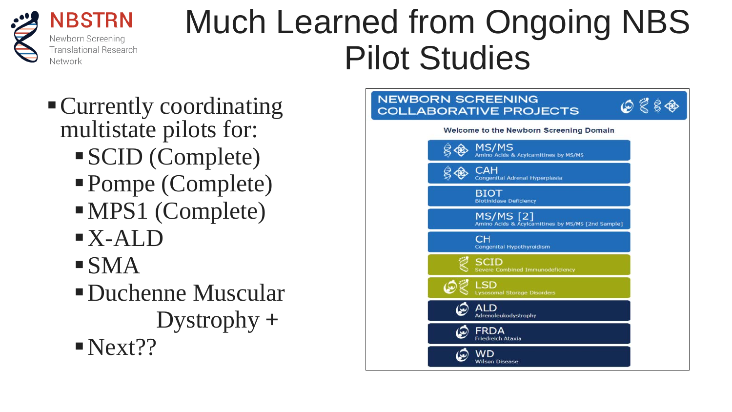

Much Learned from Ongoing NBS Pilot Studies

- Currently coordinating multistate pilots for:
	- SCID (Complete)
	- Pompe (Complete)
	- MPS1 (Complete)
	- X-ALD
	- $\blacksquare$ SMA
	- Duchenne Muscular Dystrophy **+**  $Next$ ??

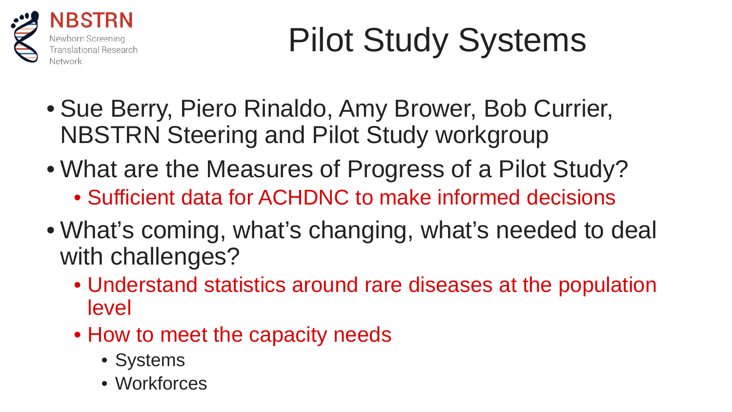

# Pilot Study Systems

- Sue Berry, Piero Rinaldo, Amy Brower, Bob Currier, NBSTRN Steering and Pilot Study workgroup
- What are the Measures of Progress of a Pilot Study?
	- Sufficient data for ACHDNC to make informed decisions
- What's coming, what's changing, what's needed to deal with challenges?
	- Understand statistics around rare diseases at the population level
	- How to meet the capacity needs
		- Systems
		- Workforces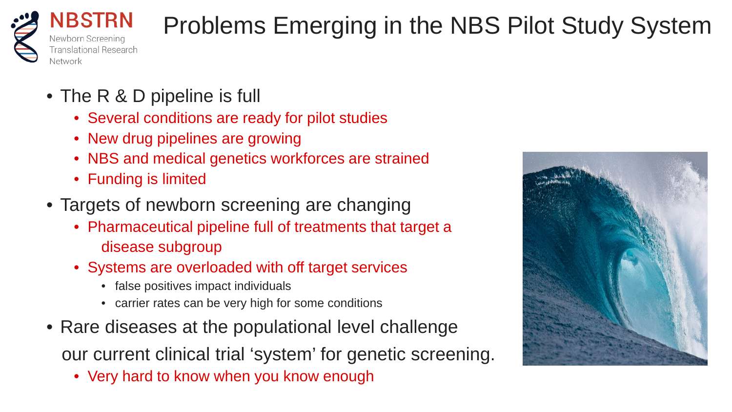

### Problems Emerging in the NBS Pilot Study System

- The R & D pipeline is full
	- Several conditions are ready for pilot studies
	- New drug pipelines are growing
	- NBS and medical genetics workforces are strained
	- Funding is limited
- Targets of newborn screening are changing
	- Pharmaceutical pipeline full of treatments that target a disease subgroup
	- Systems are overloaded with off target services
		- false positives impact individuals
		- carrier rates can be very high for some conditions
- Rare diseases at the populational level challenge our current clinical trial 'system' for genetic screening.
	- Very hard to know when you know enough

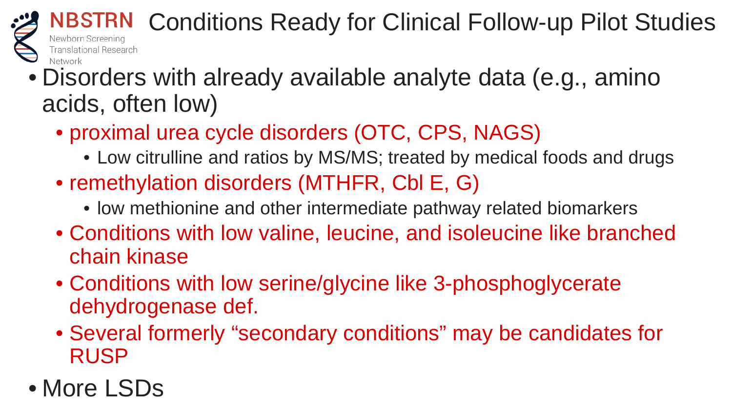

- Disorders with already available analyte data (e.g., amino acids, often low)
	- proximal urea cycle disorders (OTC, CPS, NAGS)
		- Low citrulline and ratios by MS/MS; treated by medical foods and drugs
	- remethylation disorders (MTHFR, CbI E, G)
		- low methionine and other intermediate pathway related biomarkers
	- Conditions with low valine, leucine, and isoleucine like branched chain kinase
	- Conditions with low serine/glycine like 3-phosphoglycerate dehydrogenase def.
	- Several formerly "secondary conditions" may be candidates for RUSP
- More LSDs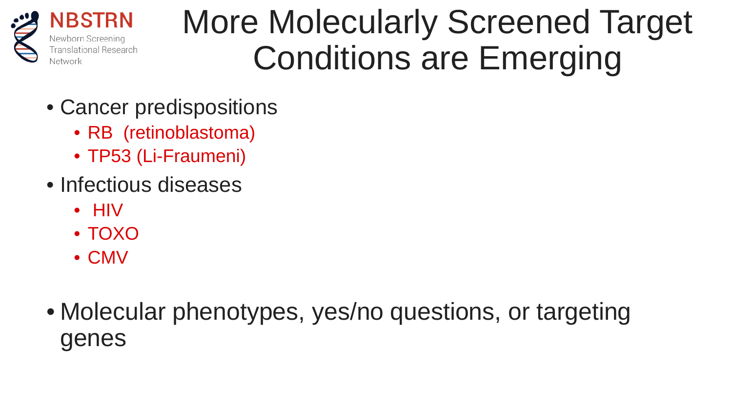

### More Molecularly Screened Target Conditions are Emerging

- Cancer predispositions
	- RB (retinoblastoma)
	- TP53 (Li-Fraumeni)
- Infectious diseases
	- HIV
	- TOXO
	- CMV
- Molecular phenotypes, yes/no questions, or targeting genes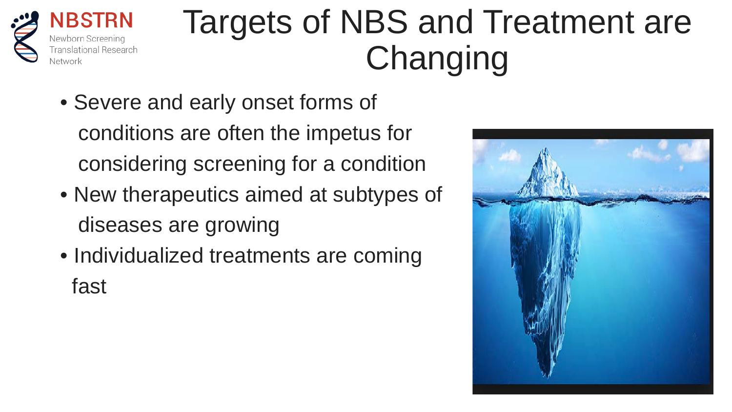

## Targets of NBS and Treatment are Changing

- Severe and early onset forms of conditions are often the impetus for considering screening for a condition
- New therapeutics aimed at subtypes of diseases are growing
- Individualized treatments are coming fast

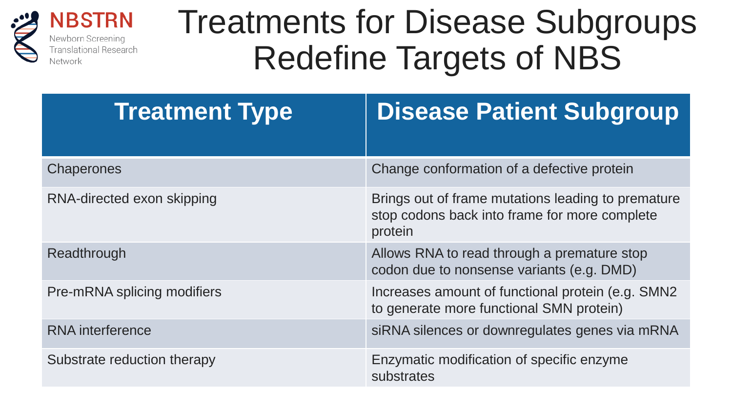

**NBSTRN** Newborn Screening **Translational Research** Network

### Treatments for Disease Subgroups Redefine Targets of NBS

| <b>Treatment Type</b>       | <b>Disease Patient Subgroup</b>                                                                                |
|-----------------------------|----------------------------------------------------------------------------------------------------------------|
| <b>Chaperones</b>           | Change conformation of a defective protein                                                                     |
| RNA-directed exon skipping  | Brings out of frame mutations leading to premature<br>stop codons back into frame for more complete<br>protein |
| Readthrough                 | Allows RNA to read through a premature stop<br>codon due to nonsense variants (e.g. DMD)                       |
| Pre-mRNA splicing modifiers | Increases amount of functional protein (e.g. SMN2)<br>to generate more functional SMN protein)                 |
| <b>RNA</b> interference     | siRNA silences or downregulates genes via mRNA                                                                 |
| Substrate reduction therapy | Enzymatic modification of specific enzyme<br>substrates                                                        |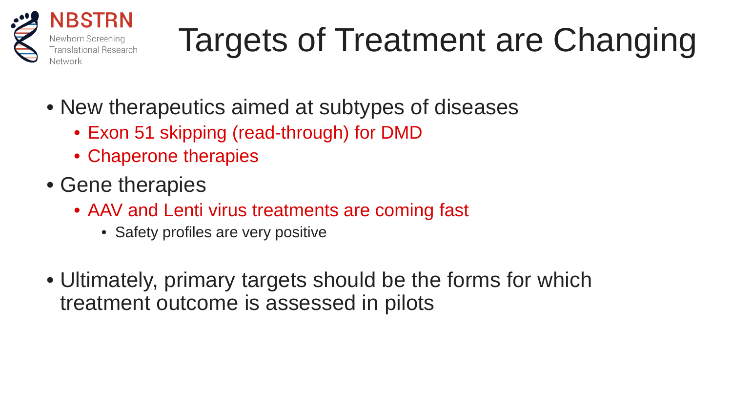

# Targets of Treatment are Changing

- New therapeutics aimed at subtypes of diseases
	- Exon 51 skipping (read-through) for DMD
	- Chaperone therapies
- Gene therapies
	- AAV and Lenti virus treatments are coming fast
		- Safety profiles are very positive
- Ultimately, primary targets should be the forms for which treatment outcome is assessed in pilots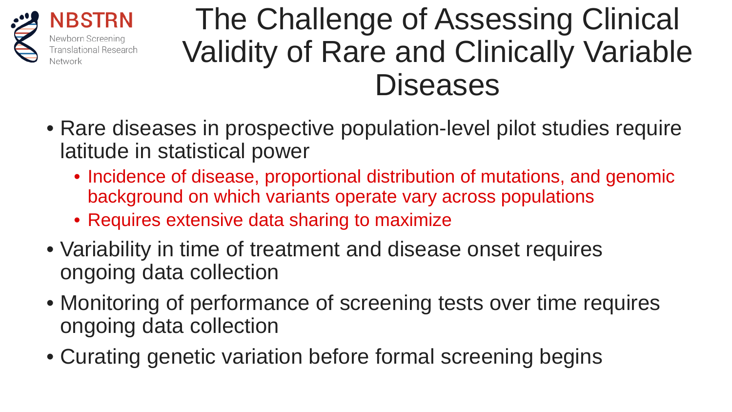

**NBSTRN** 

### The Challenge of Assessing Clinical Validity of Rare and Clinically Variable **Diseases**

- Rare diseases in prospective population-level pilot studies require latitude in statistical power
	- Incidence of disease, proportional distribution of mutations, and genomic background on which variants operate vary across populations
	- Requires extensive data sharing to maximize
- Variability in time of treatment and disease onset requires ongoing data collection
- Monitoring of performance of screening tests over time requires ongoing data collection
- Curating genetic variation before formal screening begins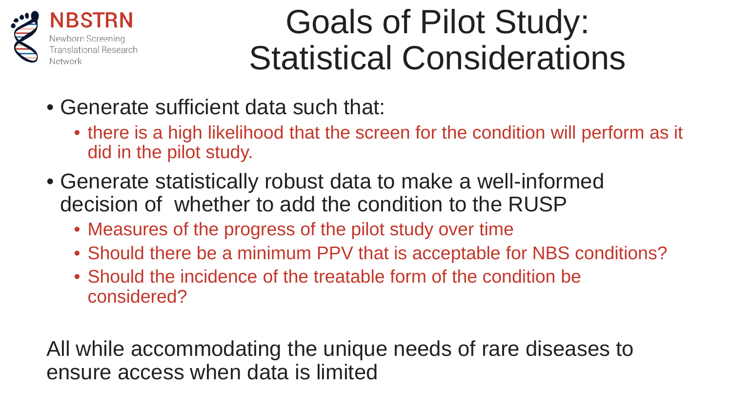

### Goals of Pilot Study: Statistical Considerations

- Generate sufficient data such that:
	- there is a high likelihood that the screen for the condition will perform as it did in the pilot study.
- Generate statistically robust data to make a well-informed decision of whether to add the condition to the RUSP
	- Measures of the progress of the pilot study over time
	- Should there be a minimum PPV that is acceptable for NBS conditions?
	- Should the incidence of the treatable form of the condition be considered?

All while accommodating the unique needs of rare diseases to ensure access when data is limited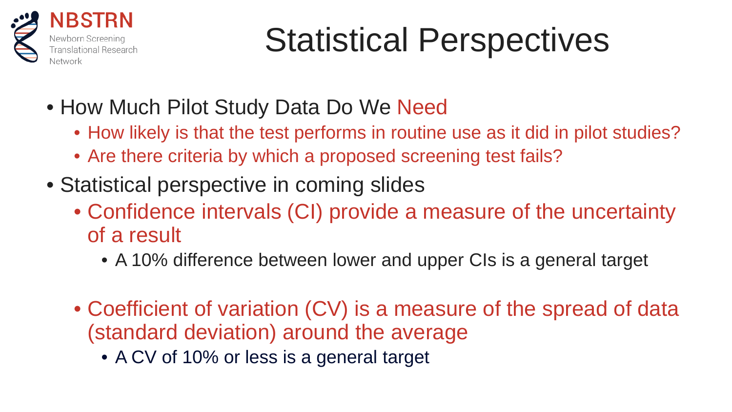

# Statistical Perspectives

- How Much Pilot Study Data Do We Need
	- How likely is that the test performs in routine use as it did in pilot studies?
	- Are there criteria by which a proposed screening test fails?
- Statistical perspective in coming slides
	- Confidence intervals (CI) provide a measure of the uncertainty of a result
		- A 10% difference between lower and upper CIs is a general target
	- Coefficient of variation (CV) is a measure of the spread of data (standard deviation) around the average
		- A CV of 10% or less is a general target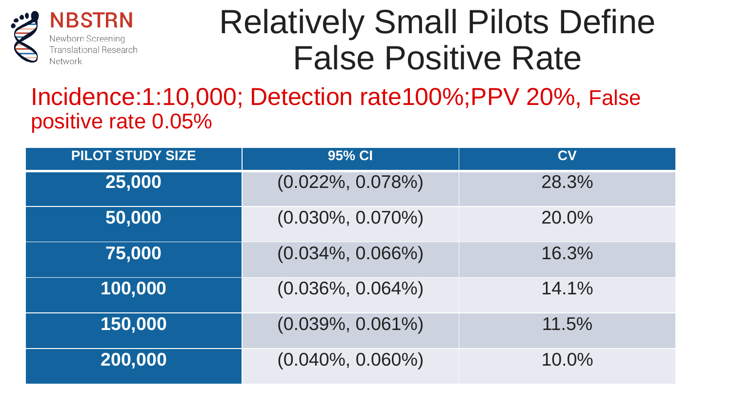

### Relatively Small Pilots Define False Positive Rate

#### Incidence:1:10,000; Detection rate100%;PPV 20%, False positive rate 0.05%

| <b>PILOT STUDY SIZE</b> | 95% CI               | <b>CV</b> |
|-------------------------|----------------------|-----------|
| 25,000                  | $(0.022\%, 0.078\%)$ | 28.3%     |
| 50,000                  | $(0.030\%, 0.070\%)$ | 20.0%     |
| 75,000                  | $(0.034\%, 0.066\%)$ | 16.3%     |
| 100,000                 | $(0.036\%, 0.064\%)$ | 14.1%     |
| 150,000                 | $(0.039\%, 0.061\%)$ | 11.5%     |
| 200,000                 | $(0.040\%, 0.060\%)$ | 10.0%     |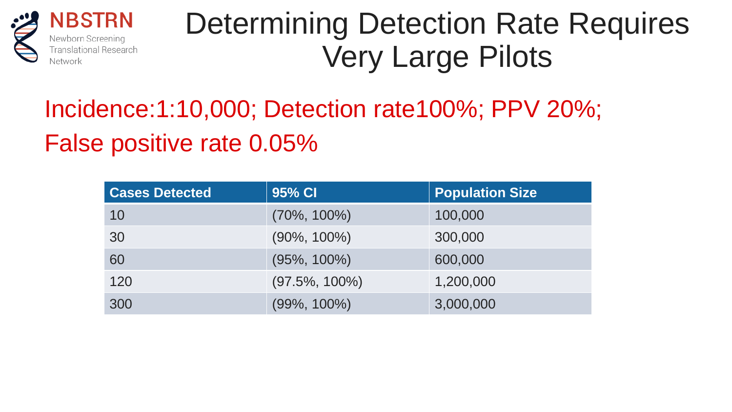

**NBSTRN** Newborn Scre Translational Research Network

### Determining Detection Rate Requires Very Large Pilots

### Incidence:1:10,000; Detection rate100%; PPV 20%; False positive rate 0.05%

| <b>Cases Detected</b> | 95% CI            | <b>Population Size</b> |
|-----------------------|-------------------|------------------------|
| 10                    | $(70\%, 100\%)$   | 100,000                |
| 30                    | $(90\%, 100\%)$   | 300,000                |
| 60                    | $(95\%, 100\%)$   | 600,000                |
| 120                   | $(97.5\%, 100\%)$ | 1,200,000              |
| 300                   | $(99\%, 100\%)$   | 3,000,000              |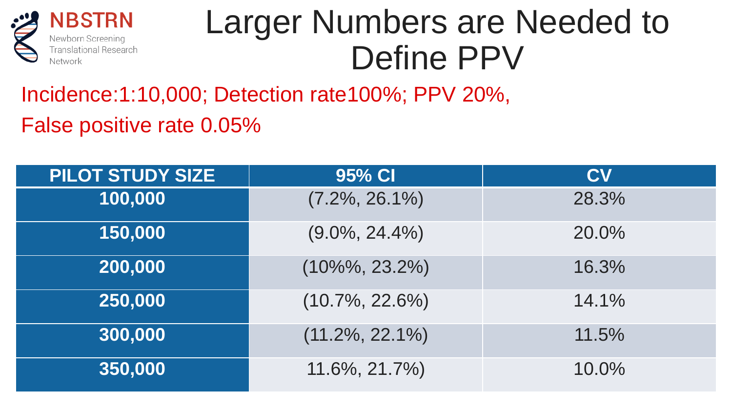

### Larger Numbers are Needed to Define PPV

Incidence:1:10,000; Detection rate100%; PPV 20%,

False positive rate 0.05%

| <b>PILOT STUDY SIZE</b> | $95%$ CI           | <b>CV</b> |
|-------------------------|--------------------|-----------|
| 100,000                 | $(7.2\%, 26.1\%)$  | 28.3%     |
| 150,000                 | $(9.0\%, 24.4\%)$  | 20.0%     |
| 200,000                 | $(10\%%$ , 23.2%)  | 16.3%     |
| 250,000                 | $(10.7\%, 22.6\%)$ | 14.1%     |
| 300,000                 | $(11.2\%, 22.1\%)$ | 11.5%     |
| 350,000                 | 11.6%, 21.7%)      | 10.0%     |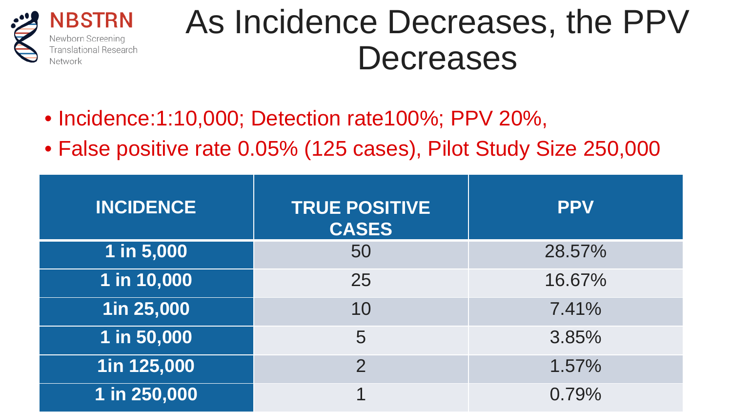

### As Incidence Decreases, the PPV **Decreases**

- Incidence: 1:10,000; Detection rate100%; PPV 20%,
- False positive rate 0.05% (125 cases), Pilot Study Size 250,000

| <b>INCIDENCE</b> | <b>TRUE POSITIVE</b><br><b>CASES</b> | <b>PPV</b> |
|------------------|--------------------------------------|------------|
| 1 in 5,000       | 50                                   | 28.57%     |
| 1 in 10,000      | 25                                   | 16.67%     |
| 1in 25,000       | 10                                   | 7.41%      |
| 1 in 50,000      | 5                                    | 3.85%      |
| 1in 125,000      | $\overline{2}$                       | 1.57%      |
| 1 in 250,000     |                                      | 0.79%      |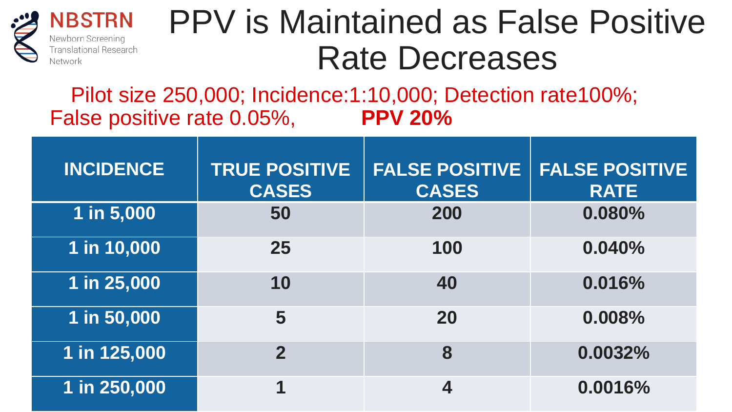

**NBSTRN** Newborn Screening Translational Research Network

### PPV is Maintained as False Positive Rate Decreases

Pilot size 250,000; Incidence:1:10,000; Detection rate100%; False positive rate 0.05%, **PPV 20%**

| <b>INCIDENCE</b> | <b>TRUE POSITIVE</b><br><b>CASES</b> | <b>FALSE POSITIVE</b><br><b>CASES</b> | <b>FALSE POSITIVE</b><br><b>RATE</b> |
|------------------|--------------------------------------|---------------------------------------|--------------------------------------|
| 1 in 5,000       | 50                                   | 200                                   | 0.080%                               |
| 1 in 10,000      | 25                                   | 100                                   | 0.040%                               |
| 1 in 25,000      | 10                                   | 40                                    | 0.016%                               |
| 1 in 50,000      | 5                                    | 20                                    | 0.008%                               |
| 1 in 125,000     | $\mathbf 2$                          | 8                                     | 0.0032%                              |
| 1 in 250,000     |                                      | 4                                     | 0.0016%                              |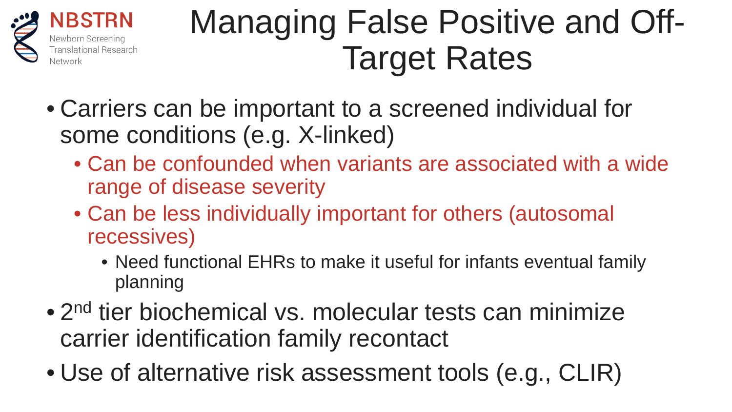

### Managing False Positive and Off-Target Rates

- Carriers can be important to a screened individual for some conditions (e.g. X-linked)
	- Can be confounded when variants are associated with a wide range of disease severity
	- Can be less individually important for others (autosomal recessives)
		- Need functional EHRs to make it useful for infants eventual family planning
- 2<sup>nd</sup> tier biochemical vs. molecular tests can minimize carrier identification family recontact
- Use of alternative risk assessment tools (e.g., CLIR)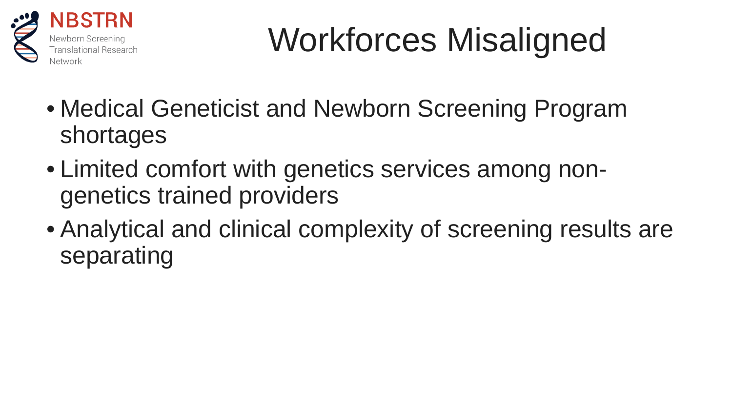

# Workforces Misaligned

- Medical Geneticist and Newborn Screening Program shortages
- Limited comfort with genetics services among nongenetics trained providers
- Analytical and clinical complexity of screening results are separating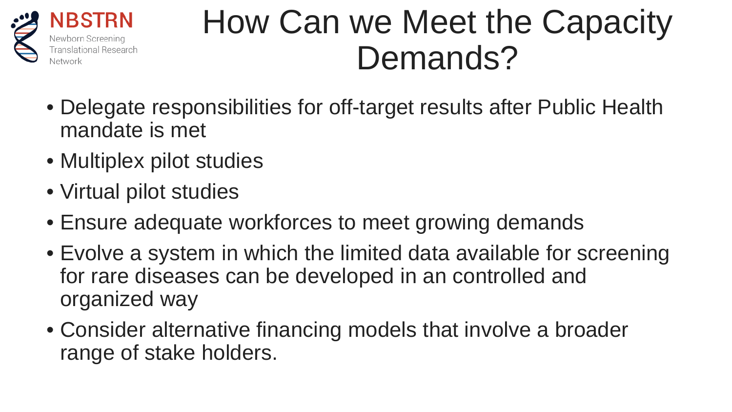

### How Can we Meet the Capacity Demands?

- Delegate responsibilities for off-target results after Public Health mandate is met
- Multiplex pilot studies
- Virtual pilot studies
- Ensure adequate workforces to meet growing demands
- Evolve a system in which the limited data available for screening for rare diseases can be developed in an controlled and organized way
- Consider alternative financing models that involve a broader range of stake holders.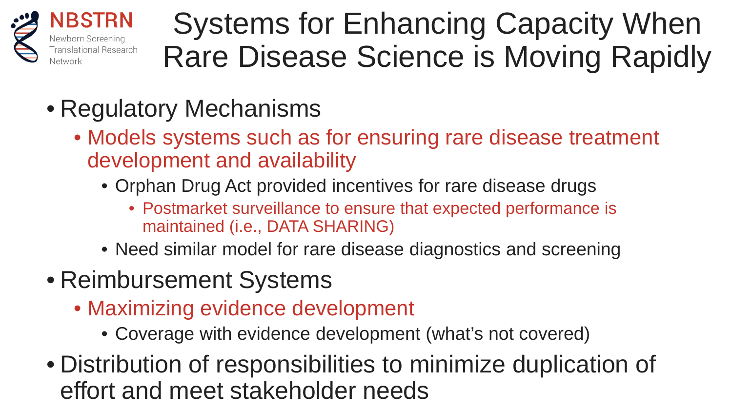

Systems for Enhancing Capacity When Rare Disease Science is Moving Rapidly

- Regulatory Mechanisms
	- Models systems such as for ensuring rare disease treatment development and availability
		- Orphan Drug Act provided incentives for rare disease drugs
			- Postmarket surveillance to ensure that expected performance is maintained (i.e., DATA SHARING)
		- Need similar model for rare disease diagnostics and screening
- Reimbursement Systems
	- Maximizing evidence development
		- Coverage with evidence development (what's not covered)
- Distribution of responsibilities to minimize duplication of effort and meet stakeholder needs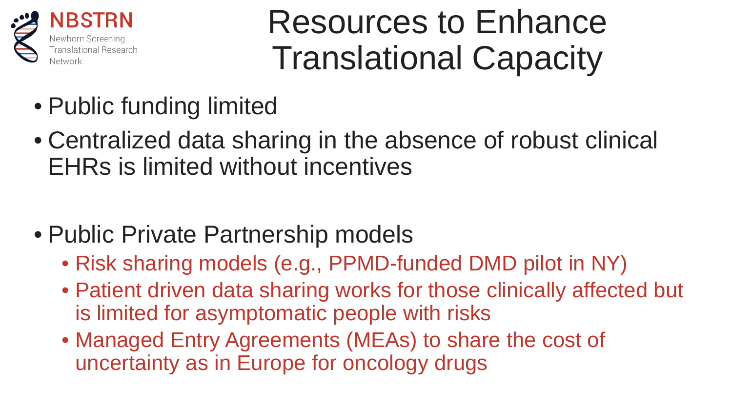

### Resources to Enhance Translational Capacity

- Public funding limited
- Centralized data sharing in the absence of robust clinical EHRs is limited without incentives
- Public Private Partnership models
	- Risk sharing models (e.g., PPMD-funded DMD pilot in NY)
	- Patient driven data sharing works for those clinically affected but is limited for asymptomatic people with risks
	- Managed Entry Agreements (MEAs) to share the cost of uncertainty as in Europe for oncology drugs